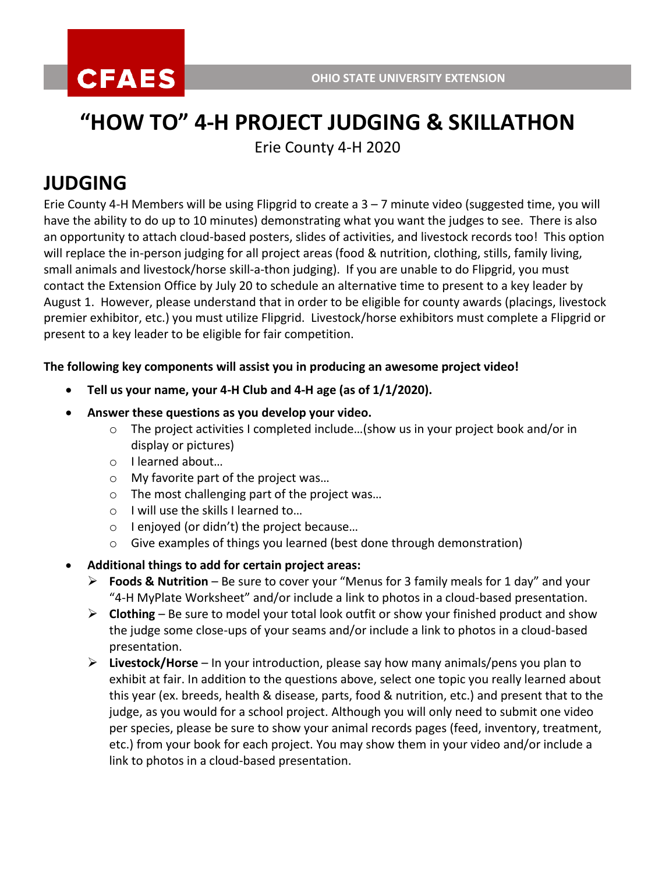# **"HOW TO" 4-H PROJECT JUDGING & SKILLATHON**

Erie County 4-H 2020

## **JUDGING**

Erie County 4-H Members will be using Flipgrid to create a 3 – 7 minute video (suggested time, you will have the ability to do up to 10 minutes) demonstrating what you want the judges to see. There is also an opportunity to attach cloud-based posters, slides of activities, and livestock records too! This option will replace the in-person judging for all project areas (food & nutrition, clothing, stills, family living, small animals and livestock/horse skill-a-thon judging). If you are unable to do Flipgrid, you must contact the Extension Office by July 20 to schedule an alternative time to present to a key leader by August 1. However, please understand that in order to be eligible for county awards (placings, livestock premier exhibitor, etc.) you must utilize Flipgrid. Livestock/horse exhibitors must complete a Flipgrid or present to a key leader to be eligible for fair competition.

#### **The following key components will assist you in producing an awesome project video!**

- **Tell us your name, your 4-H Club and 4-H age (as of 1/1/2020).**
- **Answer these questions as you develop your video.** 
	- $\circ$  The project activities I completed include...(show us in your project book and/or in display or pictures)
	- o I learned about…
	- o My favorite part of the project was…
	- o The most challenging part of the project was…
	- o I will use the skills I learned to…
	- o I enjoyed (or didn't) the project because…
	- o Give examples of things you learned (best done through demonstration)
- **Additional things to add for certain project areas:**
	- **Foods & Nutrition** Be sure to cover your "Menus for 3 family meals for 1 day" and your "4-H MyPlate Worksheet" and/or include a link to photos in a cloud-based presentation.
	- $\triangleright$  **Clothing** Be sure to model your total look outfit or show your finished product and show the judge some close-ups of your seams and/or include a link to photos in a cloud-based presentation.
	- **Livestock/Horse** In your introduction, please say how many animals/pens you plan to exhibit at fair. In addition to the questions above, select one topic you really learned about this year (ex. breeds, health & disease, parts, food & nutrition, etc.) and present that to the judge, as you would for a school project. Although you will only need to submit one video per species, please be sure to show your animal records pages (feed, inventory, treatment, etc.) from your book for each project. You may show them in your video and/or include a link to photos in a cloud-based presentation.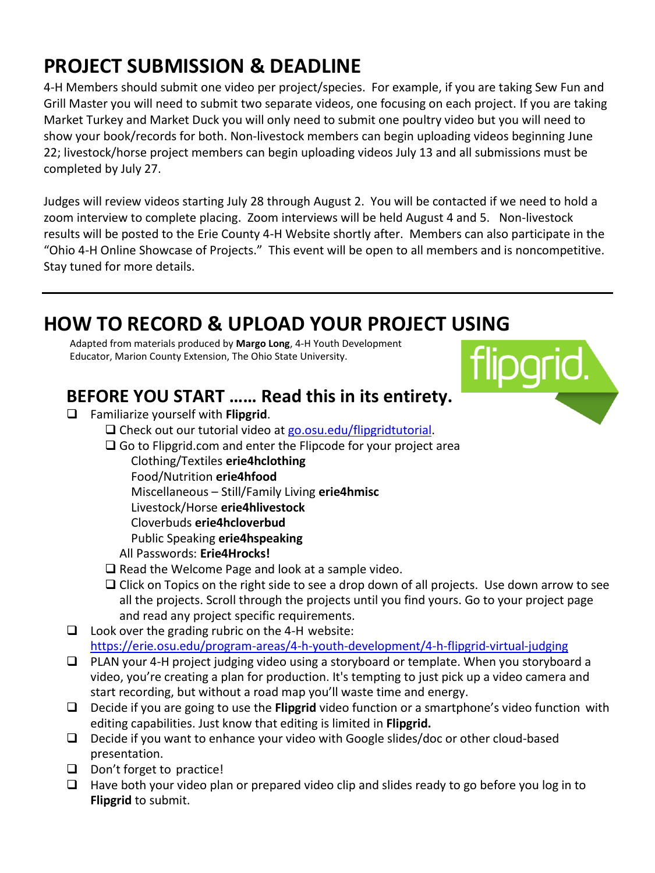## **PROJECT SUBMISSION & DEADLINE**

4-H Members should submit one video per project/species. For example, if you are taking Sew Fun and Grill Master you will need to submit two separate videos, one focusing on each project. If you are taking Market Turkey and Market Duck you will only need to submit one poultry video but you will need to show your book/records for both. Non-livestock members can begin uploading videos beginning June 22; livestock/horse project members can begin uploading videos July 13 and all submissions must be completed by July 27.

Judges will review videos starting July 28 through August 2. You will be contacted if we need to hold a zoom interview to complete placing. Zoom interviews will be held August 4 and 5. Non-livestock results will be posted to the Erie County 4-H Website shortly after. Members can also participate in the "Ohio 4-H Online Showcase of Projects." This event will be open to all members and is noncompetitive. Stay tuned for more details.

## **HOW TO RECORD & UPLOAD YOUR PROJECT USING**

Adapted from materials produced by **Margo Long**, 4-H Youth Development Educator, Marion County Extension, The Ohio State University.



### **BEFORE YOU START …… Read this in its entirety.**

- Familiarize yourself with **Flipgrid**.
	- □ Check out our tutorial video at [go.osu.edu/flipgridtutorial.](https://www.youtube.com/watch?v=8aKg3_ajGxk&feature=youtu.be)
	- $\Box$  Go to Flipgrid.com and enter the Flipcode for your project area
		- Clothing/Textiles **erie4hclothing**
		- Food/Nutrition **erie4hfood**
		- Miscellaneous Still/Family Living **erie4hmisc**
		- Livestock/Horse **erie4hlivestock**
		- Cloverbuds **erie4hcloverbud**
		- Public Speaking **erie4hspeaking**
		- All Passwords: **Erie4Hrocks!**
	- $\Box$  Read the Welcome Page and look at a sample video.
	- $\Box$  Click on Topics on the right side to see a drop down of all projects. Use down arrow to see all the projects. Scroll through the projects until you find yours. Go to your project page and read any project specific requirements.
- $\Box$  Look over the grading rubric on the 4-H website: <https://erie.osu.edu/program-areas/4-h-youth-development/4-h-flipgrid-virtual-judging>
- $\Box$  PLAN your 4-H project judging video using a storyboard or template. When you storyboard a video, you're creating a plan for production. It's tempting to just pick up a video camera and start recording, but without a road map you'll waste time and energy.
- Decide if you are going to use the **Flipgrid** video function or a smartphone's video function with editing capabilities. Just know that editing is limited in **Flipgrid.**
- $\Box$  Decide if you want to enhance your video with Google slides/doc or other cloud-based presentation.
- $\Box$  Don't forget to practice!
- $\Box$  Have both your video plan or prepared video clip and slides ready to go before you log in to **Flipgrid** to submit.